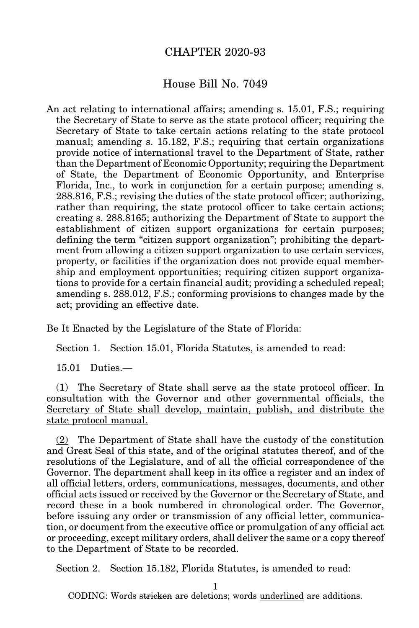## CHAPTER 2020-93

## House Bill No. 7049

An act relating to international affairs; amending s. 15.01, F.S.; requiring the Secretary of State to serve as the state protocol officer; requiring the Secretary of State to take certain actions relating to the state protocol manual; amending s. 15.182, F.S.; requiring that certain organizations provide notice of international travel to the Department of State, rather than the Department of Economic Opportunity; requiring the Department of State, the Department of Economic Opportunity, and Enterprise Florida, Inc., to work in conjunction for a certain purpose; amending s. 288.816, F.S.; revising the duties of the state protocol officer; authorizing, rather than requiring, the state protocol officer to take certain actions; creating s. 288.8165; authorizing the Department of State to support the establishment of citizen support organizations for certain purposes; defining the term "citizen support organization"; prohibiting the department from allowing a citizen support organization to use certain services, property, or facilities if the organization does not provide equal membership and employment opportunities; requiring citizen support organizations to provide for a certain financial audit; providing a scheduled repeal; amending s. 288.012, F.S.; conforming provisions to changes made by the act; providing an effective date.

Be It Enacted by the Legislature of the State of Florida:

Section 1. Section 15.01, Florida Statutes, is amended to read:

15.01 Duties.—

(1) The Secretary of State shall serve as the state protocol officer. In consultation with the Governor and other governmental officials, the Secretary of State shall develop, maintain, publish, and distribute the state protocol manual.

(2) The Department of State shall have the custody of the constitution and Great Seal of this state, and of the original statutes thereof, and of the resolutions of the Legislature, and of all the official correspondence of the Governor. The department shall keep in its office a register and an index of all official letters, orders, communications, messages, documents, and other official acts issued or received by the Governor or the Secretary of State, and record these in a book numbered in chronological order. The Governor, before issuing any order or transmission of any official letter, communication, or document from the executive office or promulgation of any official act or proceeding, except military orders, shall deliver the same or a copy thereof to the Department of State to be recorded.

Section 2. Section 15.182, Florida Statutes, is amended to read:

1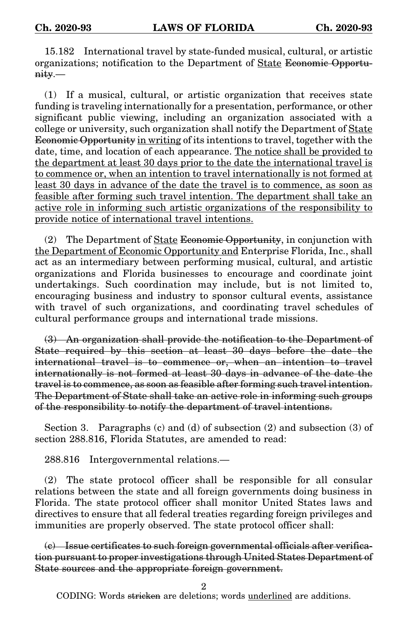15.182 International travel by state-funded musical, cultural, or artistic organizations; notification to the Department of State Economic Opportunity.—

(1) If a musical, cultural, or artistic organization that receives state funding is traveling internationally for a presentation, performance, or other significant public viewing, including an organization associated with a college or university, such organization shall notify the Department of State Economic Opportunity in writing of its intentions to travel, together with the date, time, and location of each appearance. The notice shall be provided to the department at least 30 days prior to the date the international travel is to commence or, when an intention to travel internationally is not formed at least 30 days in advance of the date the travel is to commence, as soon as feasible after forming such travel intention. The department shall take an active role in informing such artistic organizations of the responsibility to provide notice of international travel intentions.

(2) The Department of State Economic Opportunity, in conjunction with the Department of Economic Opportunity and Enterprise Florida, Inc., shall act as an intermediary between performing musical, cultural, and artistic organizations and Florida businesses to encourage and coordinate joint undertakings. Such coordination may include, but is not limited to, encouraging business and industry to sponsor cultural events, assistance with travel of such organizations, and coordinating travel schedules of cultural performance groups and international trade missions.

(3) An organization shall provide the notification to the Department of State required by this section at least 30 days before the date the international travel is to commence or, when an intention to travel internationally is not formed at least 30 days in advance of the date the travel is to commence, as soon as feasible after forming such travel intention. The Department of State shall take an active role in informing such groups of the responsibility to notify the department of travel intentions.

Section 3. Paragraphs (c) and (d) of subsection (2) and subsection (3) of section 288.816, Florida Statutes, are amended to read:

288.816 Intergovernmental relations.—

(2) The state protocol officer shall be responsible for all consular relations between the state and all foreign governments doing business in Florida. The state protocol officer shall monitor United States laws and directives to ensure that all federal treaties regarding foreign privileges and immunities are properly observed. The state protocol officer shall:

(c) Issue certificates to such foreign governmental officials after verification pursuant to proper investigations through United States Department of State sources and the appropriate foreign government.

2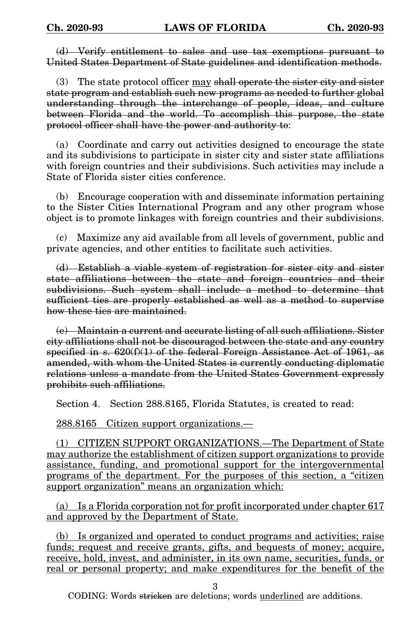(d) Verify entitlement to sales and use tax exemptions pursuant to United States Department of State guidelines and identification methods.

(3) The state protocol officer may shall operate the sister city and sister state program and establish such new programs as needed to further global understanding through the interchange of people, ideas, and culture between Florida and the world. To accomplish this purpose, the state protocol officer shall have the power and authority to:

(a) Coordinate and carry out activities designed to encourage the state and its subdivisions to participate in sister city and sister state affiliations with foreign countries and their subdivisions. Such activities may include a State of Florida sister cities conference.

(b) Encourage cooperation with and disseminate information pertaining to the Sister Cities International Program and any other program whose object is to promote linkages with foreign countries and their subdivisions.

(c) Maximize any aid available from all levels of government, public and private agencies, and other entities to facilitate such activities.

(d) Establish a viable system of registration for sister city and sister state affiliations between the state and foreign countries and their subdivisions. Such system shall include a method to determine that sufficient ties are properly established as well as a method to supervise how these ties are maintained.

(e) Maintain a current and accurate listing of all such affiliations. Sister city affiliations shall not be discouraged between the state and any country specified in s.  $620(f)(1)$  of the federal Foreign Assistance Act of 1961, as amended, with whom the United States is currently conducting diplomatic relations unless a mandate from the United States Government expressly prohibits such affiliations.

Section 4. Section 288.8165, Florida Statutes, is created to read:

288.8165 Citizen support organizations.—

(1) CITIZEN SUPPORT ORGANIZATIONS.—The Department of State may authorize the establishment of citizen support organizations to provide assistance, funding, and promotional support for the intergovernmental programs of the department. For the purposes of this section, a "citizen support organization" means an organization which:

(a) Is a Florida corporation not for profit incorporated under chapter 617 and approved by the Department of State.

(b) Is organized and operated to conduct programs and activities; raise funds; request and receive grants, gifts, and bequests of money; acquire, receive, hold, invest, and administer, in its own name, securities, funds, or real or personal property; and make expenditures for the benefit of the

3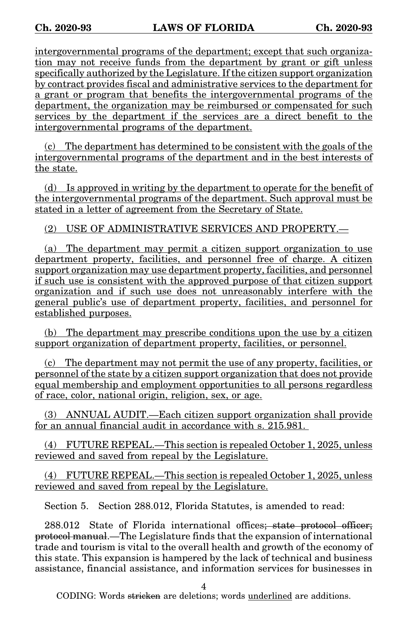intergovernmental programs of the department; except that such organization may not receive funds from the department by grant or gift unless specifically authorized by the Legislature. If the citizen support organization by contract provides fiscal and administrative services to the department for a grant or program that benefits the intergovernmental programs of the department, the organization may be reimbursed or compensated for such services by the department if the services are a direct benefit to the intergovernmental programs of the department.

(c) The department has determined to be consistent with the goals of the intergovernmental programs of the department and in the best interests of the state.

(d) Is approved in writing by the department to operate for the benefit of the intergovernmental programs of the department. Such approval must be stated in a letter of agreement from the Secretary of State.

(2) USE OF ADMINISTRATIVE SERVICES AND PROPERTY.—

(a) The department may permit a citizen support organization to use department property, facilities, and personnel free of charge. A citizen support organization may use department property, facilities, and personnel if such use is consistent with the approved purpose of that citizen support organization and if such use does not unreasonably interfere with the general public's use of department property, facilities, and personnel for established purposes.

(b) The department may prescribe conditions upon the use by a citizen support organization of department property, facilities, or personnel.

(c) The department may not permit the use of any property, facilities, or personnel of the state by a citizen support organization that does not provide equal membership and employment opportunities to all persons regardless of race, color, national origin, religion, sex, or age.

(3) ANNUAL AUDIT.—Each citizen support organization shall provide for an annual financial audit in accordance with s. 215.981.

(4) FUTURE REPEAL.—This section is repealed October 1, 2025, unless reviewed and saved from repeal by the Legislature.

(4) FUTURE REPEAL.—This section is repealed October 1, 2025, unless reviewed and saved from repeal by the Legislature.

Section 5. Section 288.012, Florida Statutes, is amended to read:

288.012 State of Florida international offices; state protocol officer; protocol manual.—The Legislature finds that the expansion of international trade and tourism is vital to the overall health and growth of the economy of this state. This expansion is hampered by the lack of technical and business assistance, financial assistance, and information services for businesses in

4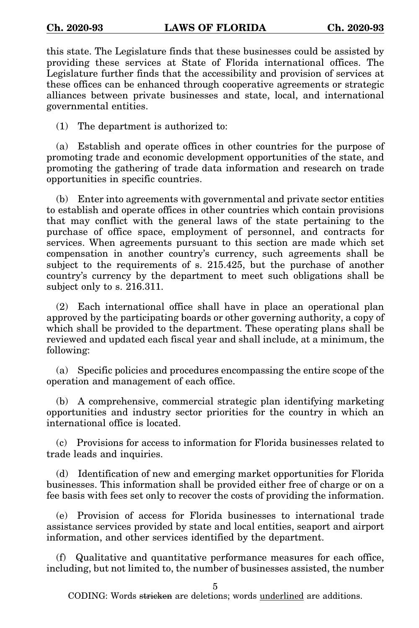this state. The Legislature finds that these businesses could be assisted by providing these services at State of Florida international offices. The Legislature further finds that the accessibility and provision of services at these offices can be enhanced through cooperative agreements or strategic alliances between private businesses and state, local, and international governmental entities.

(1) The department is authorized to:

(a) Establish and operate offices in other countries for the purpose of promoting trade and economic development opportunities of the state, and promoting the gathering of trade data information and research on trade opportunities in specific countries.

(b) Enter into agreements with governmental and private sector entities to establish and operate offices in other countries which contain provisions that may conflict with the general laws of the state pertaining to the purchase of office space, employment of personnel, and contracts for services. When agreements pursuant to this section are made which set compensation in another country's currency, such agreements shall be subject to the requirements of s. 215.425, but the purchase of another country's currency by the department to meet such obligations shall be subject only to s. 216.311.

(2) Each international office shall have in place an operational plan approved by the participating boards or other governing authority, a copy of which shall be provided to the department. These operating plans shall be reviewed and updated each fiscal year and shall include, at a minimum, the following:

(a) Specific policies and procedures encompassing the entire scope of the operation and management of each office.

(b) A comprehensive, commercial strategic plan identifying marketing opportunities and industry sector priorities for the country in which an international office is located.

(c) Provisions for access to information for Florida businesses related to trade leads and inquiries.

(d) Identification of new and emerging market opportunities for Florida businesses. This information shall be provided either free of charge or on a fee basis with fees set only to recover the costs of providing the information.

(e) Provision of access for Florida businesses to international trade assistance services provided by state and local entities, seaport and airport information, and other services identified by the department.

(f) Qualitative and quantitative performance measures for each office, including, but not limited to, the number of businesses assisted, the number

5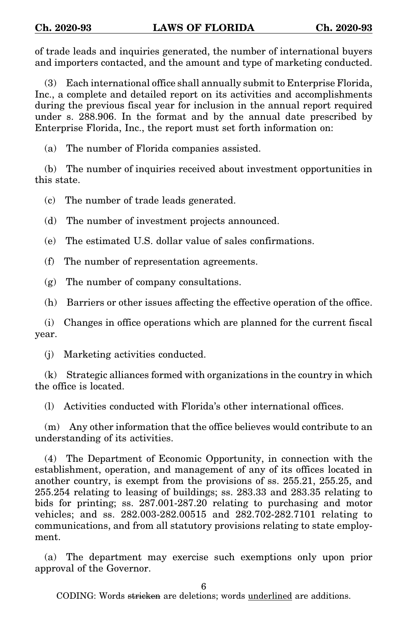of trade leads and inquiries generated, the number of international buyers and importers contacted, and the amount and type of marketing conducted.

(3) Each international office shall annually submit to Enterprise Florida, Inc., a complete and detailed report on its activities and accomplishments during the previous fiscal year for inclusion in the annual report required under s. 288.906. In the format and by the annual date prescribed by Enterprise Florida, Inc., the report must set forth information on:

(a) The number of Florida companies assisted.

(b) The number of inquiries received about investment opportunities in this state.

(c) The number of trade leads generated.

(d) The number of investment projects announced.

(e) The estimated U.S. dollar value of sales confirmations.

(f) The number of representation agreements.

(g) The number of company consultations.

(h) Barriers or other issues affecting the effective operation of the office.

(i) Changes in office operations which are planned for the current fiscal year.

(j) Marketing activities conducted.

(k) Strategic alliances formed with organizations in the country in which the office is located.

(l) Activities conducted with Florida's other international offices.

(m) Any other information that the office believes would contribute to an understanding of its activities.

(4) The Department of Economic Opportunity, in connection with the establishment, operation, and management of any of its offices located in another country, is exempt from the provisions of ss. 255.21, 255.25, and 255.254 relating to leasing of buildings; ss. 283.33 and 283.35 relating to bids for printing; ss. 287.001-287.20 relating to purchasing and motor vehicles; and ss. 282.003-282.00515 and 282.702-282.7101 relating to communications, and from all statutory provisions relating to state employment.

(a) The department may exercise such exemptions only upon prior approval of the Governor.

6